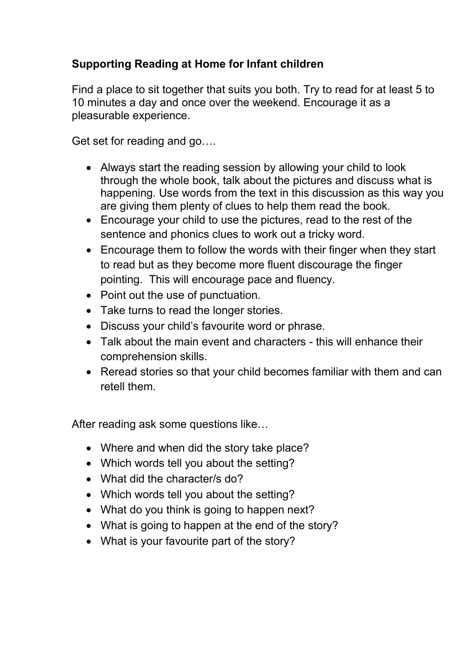## **Supporting Reading at Home for Infant children**

Find a place to sit together that suits you both. Try to read for at least 5 to 10 minutes a day and once over the weekend. Encourage it as a pleasurable experience.

Get set for reading and go….

- Always start the reading session by allowing your child to look through the whole book, talk about the pictures and discuss what is happening. Use words from the text in this discussion as this way you are giving them plenty of clues to help them read the book.
- Encourage your child to use the pictures, read to the rest of the sentence and phonics clues to work out a tricky word.
- Encourage them to follow the words with their finger when they start to read but as they become more fluent discourage the finger pointing. This will encourage pace and fluency.
- Point out the use of punctuation.
- Take turns to read the longer stories.
- Discuss your child's favourite word or phrase.
- Talk about the main event and characters this will enhance their comprehension skills.
- Reread stories so that your child becomes familiar with them and can retell them.

After reading ask some questions like…

- Where and when did the story take place?
- Which words tell you about the setting?
- What did the character/s do?
- Which words tell you about the setting?
- What do you think is going to happen next?
- What is going to happen at the end of the story?
- What is your favourite part of the story?